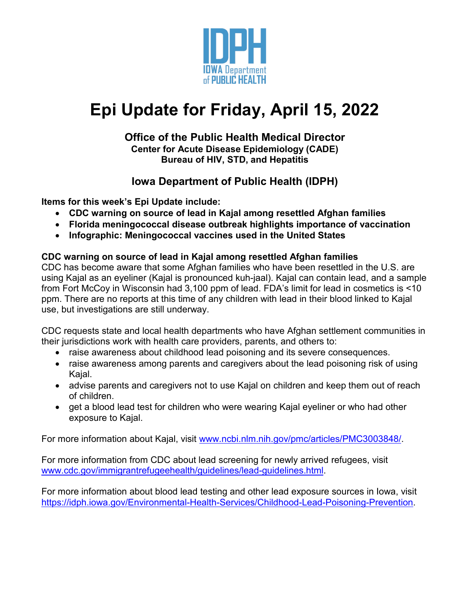

# **Epi Update for Friday, April 15, 2022**

#### **Office of the Public Health Medical Director Center for Acute Disease Epidemiology (CADE) Bureau of HIV, STD, and Hepatitis**

# **Iowa Department of Public Health (IDPH)**

**Items for this week's Epi Update include:**

- **CDC warning on source of lead in Kajal among resettled Afghan families**
- **Florida meningococcal disease outbreak highlights importance of vaccination**
- **Infographic: Meningococcal vaccines used in the United States**

#### **CDC warning on source of lead in Kajal among resettled Afghan families**

CDC has become aware that some Afghan families who have been resettled in the U.S. are using Kajal as an eyeliner (Kajal is pronounced kuh-jaal). Kajal can contain lead, and a sample from Fort McCoy in Wisconsin had 3,100 ppm of lead. FDA's limit for lead in cosmetics is <10 ppm. There are no reports at this time of any children with lead in their blood linked to Kajal use, but investigations are still underway.

CDC requests state and local health departments who have Afghan settlement communities in their jurisdictions work with health care providers, parents, and others to:

- raise awareness about childhood lead poisoning and its severe consequences.
- raise awareness among parents and caregivers about the lead poisoning risk of using Kajal.
- advise parents and caregivers not to use Kajal on children and keep them out of reach of children.
- get a blood lead test for children who were wearing Kajal eyeliner or who had other exposure to Kajal.

For more information about Kajal, visit [www.ncbi.nlm.nih.gov/pmc/articles/PMC3003848/.](http://www.ncbi.nlm.nih.gov/pmc/articles/PMC3003848/)

For more information from CDC about lead screening for newly arrived refugees, visit [www.cdc.gov/immigrantrefugeehealth/guidelines/lead-guidelines.html.](http://www.cdc.gov/immigrantrefugeehealth/guidelines/lead-guidelines.html)

For more information about blood lead testing and other lead exposure sources in Iowa, visit [https://idph.iowa.gov/Environmental-Health-Services/Childhood-Lead-Poisoning-Prevention.](https://idph.iowa.gov/Environmental-Health-Services/Childhood-Lead-Poisoning-Prevention)